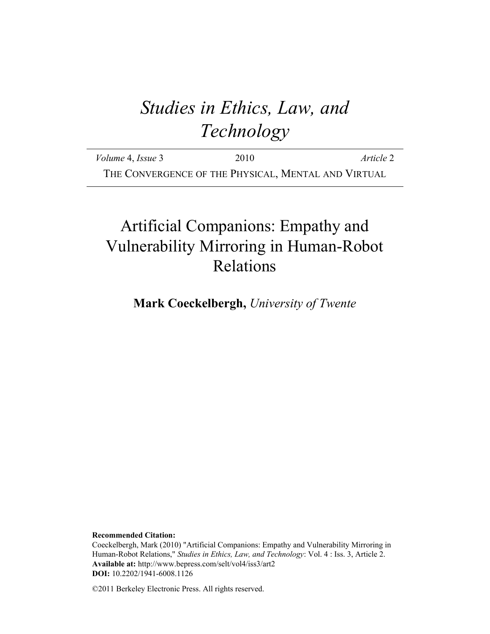# *Studies in Ethics, Law, and Technology*

*Volume* 4, *Issue* 3 2010 *Article* 2 THE CONVERGENCE OF THE PHYSICAL, MENTAL AND VIRTUAL

# Artificial Companions: Empathy and Vulnerability Mirroring in Human-Robot Relations

**Mark Coeckelbergh,** *University of Twente*

**Recommended Citation:**

Coeckelbergh, Mark (2010) "Artificial Companions: Empathy and Vulnerability Mirroring in Human-Robot Relations," *Studies in Ethics, Law, and Technology*: Vol. 4 : Iss. 3, Article 2. **Available at:** http://www.bepress.com/selt/vol4/iss3/art2 **DOI:** 10.2202/1941-6008.1126

©2011 Berkeley Electronic Press. All rights reserved.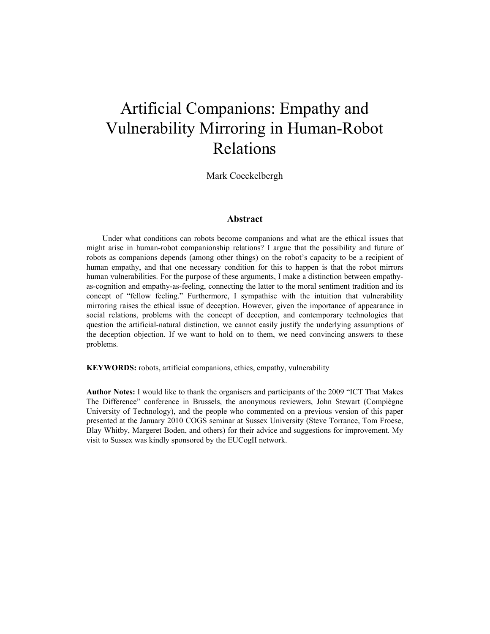# Artificial Companions: Empathy and Vulnerability Mirroring in Human-Robot Relations

Mark Coeckelbergh

#### **Abstract**

Under what conditions can robots become companions and what are the ethical issues that might arise in human-robot companionship relations? I argue that the possibility and future of robots as companions depends (among other things) on the robot's capacity to be a recipient of human empathy, and that one necessary condition for this to happen is that the robot mirrors human vulnerabilities. For the purpose of these arguments, I make a distinction between empathyas-cognition and empathy-as-feeling, connecting the latter to the moral sentiment tradition and its concept of "fellow feeling." Furthermore, I sympathise with the intuition that vulnerability mirroring raises the ethical issue of deception. However, given the importance of appearance in social relations, problems with the concept of deception, and contemporary technologies that question the artificial-natural distinction, we cannot easily justify the underlying assumptions of the deception objection. If we want to hold on to them, we need convincing answers to these problems.

**KEYWORDS:** robots, artificial companions, ethics, empathy, vulnerability

**Author Notes:** I would like to thank the organisers and participants of the 2009 "ICT That Makes The Difference" conference in Brussels, the anonymous reviewers, John Stewart (Compiègne University of Technology), and the people who commented on a previous version of this paper presented at the January 2010 COGS seminar at Sussex University (Steve Torrance, Tom Froese, Blay Whitby, Margeret Boden, and others) for their advice and suggestions for improvement. My visit to Sussex was kindly sponsored by the EUCogII network.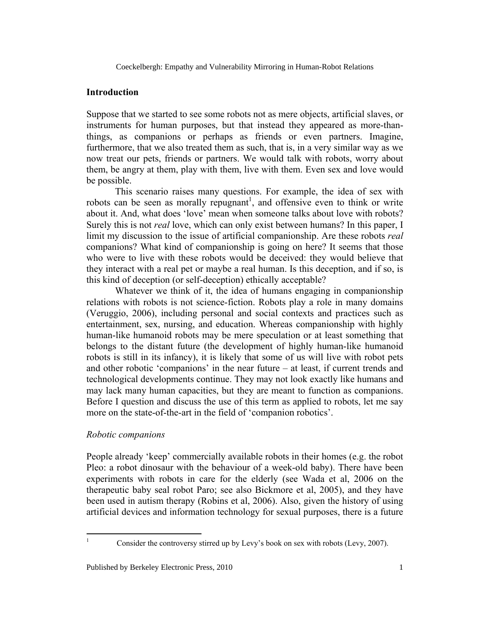## **Introduction**

Suppose that we started to see some robots not as mere objects, artificial slaves, or instruments for human purposes, but that instead they appeared as more-thanthings, as companions or perhaps as friends or even partners. Imagine, furthermore, that we also treated them as such, that is, in a very similar way as we now treat our pets, friends or partners. We would talk with robots, worry about them, be angry at them, play with them, live with them. Even sex and love would be possible.

This scenario raises many questions. For example, the idea of sex with robots can be seen as morally repugnant<sup>1</sup>, and offensive even to think or write about it. And, what does 'love' mean when someone talks about love with robots? Surely this is not *real* love, which can only exist between humans? In this paper, I limit my discussion to the issue of artificial companionship. Are these robots *real* companions? What kind of companionship is going on here? It seems that those who were to live with these robots would be deceived: they would believe that they interact with a real pet or maybe a real human. Is this deception, and if so, is this kind of deception (or self-deception) ethically acceptable?

Whatever we think of it, the idea of humans engaging in companionship relations with robots is not science-fiction. Robots play a role in many domains (Veruggio, 2006), including personal and social contexts and practices such as entertainment, sex, nursing, and education. Whereas companionship with highly human-like humanoid robots may be mere speculation or at least something that belongs to the distant future (the development of highly human-like humanoid robots is still in its infancy), it is likely that some of us will live with robot pets and other robotic 'companions' in the near future – at least, if current trends and technological developments continue. They may not look exactly like humans and may lack many human capacities, but they are meant to function as companions. Before I question and discuss the use of this term as applied to robots, let me say more on the state-of-the-art in the field of 'companion robotics'.

# *Robotic companions*

People already 'keep' commercially available robots in their homes (e.g. the robot Pleo: a robot dinosaur with the behaviour of a week-old baby). There have been experiments with robots in care for the elderly (see Wada et al, 2006 on the therapeutic baby seal robot Paro; see also Bickmore et al, 2005), and they have been used in autism therapy (Robins et al, 2006). Also, given the history of using artificial devices and information technology for sexual purposes, there is a future

 $\frac{1}{1}$ 

Consider the controversy stirred up by Levy's book on sex with robots (Levy, 2007).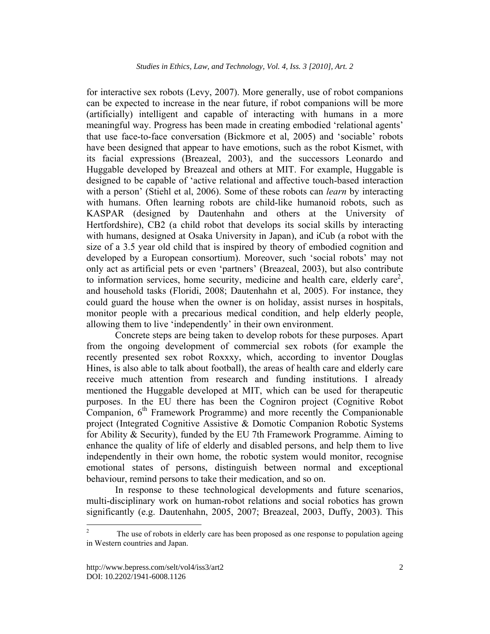for interactive sex robots (Levy, 2007). More generally, use of robot companions can be expected to increase in the near future, if robot companions will be more (artificially) intelligent and capable of interacting with humans in a more meaningful way. Progress has been made in creating embodied 'relational agents' that use face-to-face conversation (Bickmore et al, 2005) and 'sociable' robots have been designed that appear to have emotions, such as the robot Kismet, with its facial expressions (Breazeal, 2003), and the successors Leonardo and Huggable developed by Breazeal and others at MIT. For example, Huggable is designed to be capable of 'active relational and affective touch-based interaction with a person' (Stiehl et al, 2006). Some of these robots can *learn* by interacting with humans. Often learning robots are child-like humanoid robots, such as KASPAR (designed by Dautenhahn and others at the University of Hertfordshire), CB2 (a child robot that develops its social skills by interacting with humans, designed at Osaka University in Japan), and iCub (a robot with the size of a 3.5 year old child that is inspired by theory of embodied cognition and developed by a European consortium). Moreover, such 'social robots' may not only act as artificial pets or even 'partners' (Breazeal, 2003), but also contribute to information services, home security, medicine and health care, elderly care<sup>2</sup>, and household tasks (Floridi, 2008; Dautenhahn et al, 2005). For instance, they could guard the house when the owner is on holiday, assist nurses in hospitals, monitor people with a precarious medical condition, and help elderly people, allowing them to live 'independently' in their own environment.

Concrete steps are being taken to develop robots for these purposes. Apart from the ongoing development of commercial sex robots (for example the recently presented sex robot Roxxxy, which, according to inventor Douglas Hines, is also able to talk about football), the areas of health care and elderly care receive much attention from research and funding institutions. I already mentioned the Huggable developed at MIT, which can be used for therapeutic purposes. In the EU there has been the Cogniron project (Cognitive Robot Companion,  $6<sup>th</sup>$  Framework Programme) and more recently the Companionable project (Integrated Cognitive Assistive & Domotic Companion Robotic Systems for Ability & Security), funded by the EU 7th Framework Programme. Aiming to enhance the quality of life of elderly and disabled persons, and help them to live independently in their own home, the robotic system would monitor, recognise emotional states of persons, distinguish between normal and exceptional behaviour, remind persons to take their medication, and so on.

In response to these technological developments and future scenarios, multi-disciplinary work on human-robot relations and social robotics has grown significantly (e.g. Dautenhahn, 2005, 2007; Breazeal, 2003, Duffy, 2003). This

 $\frac{1}{2}$  The use of robots in elderly care has been proposed as one response to population ageing in Western countries and Japan.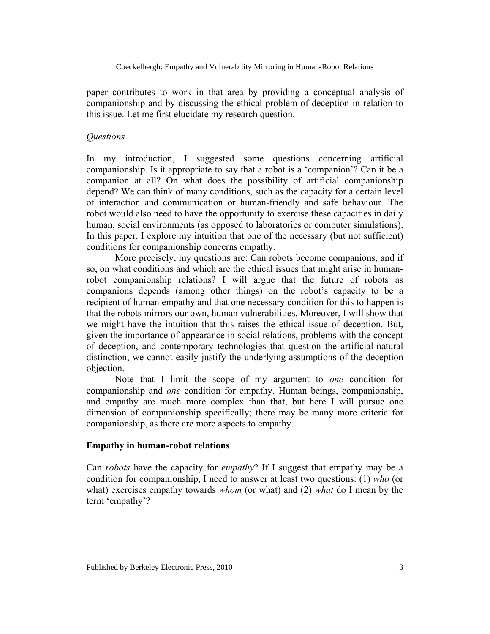paper contributes to work in that area by providing a conceptual analysis of companionship and by discussing the ethical problem of deception in relation to this issue. Let me first elucidate my research question.

#### *Questions*

In my introduction, I suggested some questions concerning artificial companionship. Is it appropriate to say that a robot is a 'companion'? Can it be a companion at all? On what does the possibility of artificial companionship depend? We can think of many conditions, such as the capacity for a certain level of interaction and communication or human-friendly and safe behaviour. The robot would also need to have the opportunity to exercise these capacities in daily human, social environments (as opposed to laboratories or computer simulations). In this paper, I explore my intuition that one of the necessary (but not sufficient) conditions for companionship concerns empathy.

More precisely, my questions are: Can robots become companions, and if so, on what conditions and which are the ethical issues that might arise in humanrobot companionship relations? I will argue that the future of robots as companions depends (among other things) on the robot's capacity to be a recipient of human empathy and that one necessary condition for this to happen is that the robots mirrors our own, human vulnerabilities. Moreover, I will show that we might have the intuition that this raises the ethical issue of deception. But, given the importance of appearance in social relations, problems with the concept of deception, and contemporary technologies that question the artificial-natural distinction, we cannot easily justify the underlying assumptions of the deception objection.

Note that I limit the scope of my argument to *one* condition for companionship and *one* condition for empathy. Human beings, companionship, and empathy are much more complex than that, but here I will pursue one dimension of companionship specifically; there may be many more criteria for companionship, as there are more aspects to empathy.

#### **Empathy in human-robot relations**

Can *robots* have the capacity for *empathy*? If I suggest that empathy may be a condition for companionship, I need to answer at least two questions: (1) *who* (or what) exercises empathy towards *whom* (or what) and (2) *what* do I mean by the term 'empathy'?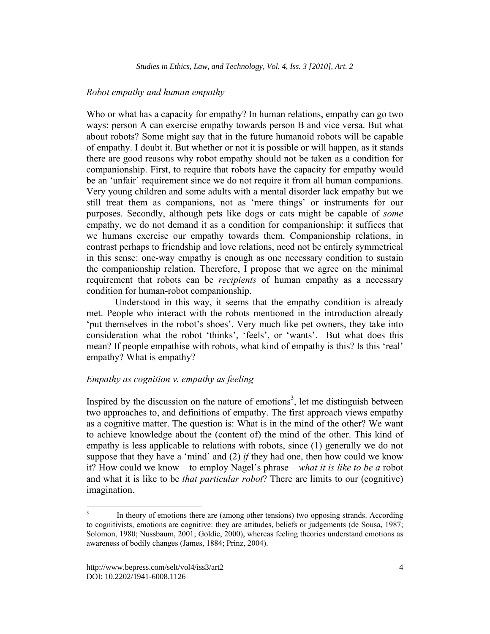#### *Robot empathy and human empathy*

Who or what has a capacity for empathy? In human relations, empathy can go two ways: person A can exercise empathy towards person B and vice versa. But what about robots? Some might say that in the future humanoid robots will be capable of empathy. I doubt it. But whether or not it is possible or will happen, as it stands there are good reasons why robot empathy should not be taken as a condition for companionship. First, to require that robots have the capacity for empathy would be an 'unfair' requirement since we do not require it from all human companions. Very young children and some adults with a mental disorder lack empathy but we still treat them as companions, not as 'mere things' or instruments for our purposes. Secondly, although pets like dogs or cats might be capable of *some* empathy, we do not demand it as a condition for companionship: it suffices that we humans exercise our empathy towards them. Companionship relations, in contrast perhaps to friendship and love relations, need not be entirely symmetrical in this sense: one-way empathy is enough as one necessary condition to sustain the companionship relation. Therefore, I propose that we agree on the minimal requirement that robots can be *recipients* of human empathy as a necessary condition for human-robot companionship.

Understood in this way, it seems that the empathy condition is already met. People who interact with the robots mentioned in the introduction already 'put themselves in the robot's shoes'. Very much like pet owners, they take into consideration what the robot 'thinks', 'feels', or 'wants'. But what does this mean? If people empathise with robots, what kind of empathy is this? Is this 'real' empathy? What is empathy?

#### *Empathy as cognition v. empathy as feeling*

Inspired by the discussion on the nature of emotions<sup>3</sup>, let me distinguish between two approaches to, and definitions of empathy. The first approach views empathy as a cognitive matter. The question is: What is in the mind of the other? We want to achieve knowledge about the (content of) the mind of the other. This kind of empathy is less applicable to relations with robots, since (1) generally we do not suppose that they have a 'mind' and (2) *if* they had one, then how could we know it? How could we know – to employ Nagel's phrase – *what it is like to be a* robot and what it is like to be *that particular robot*? There are limits to our (cognitive) imagination.

<sup>&</sup>lt;sup>3</sup> In theory of emotions there are (among other tensions) two opposing strands. According to cognitivists, emotions are cognitive: they are attitudes, beliefs or judgements (de Sousa, 1987; Solomon, 1980; Nussbaum, 2001; Goldie, 2000), whereas feeling theories understand emotions as awareness of bodily changes (James, 1884; Prinz, 2004).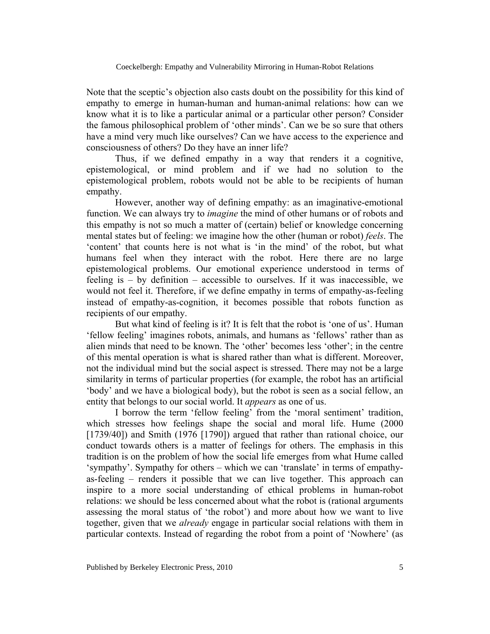Note that the sceptic's objection also casts doubt on the possibility for this kind of empathy to emerge in human-human and human-animal relations: how can we know what it is to like a particular animal or a particular other person? Consider the famous philosophical problem of 'other minds'. Can we be so sure that others have a mind very much like ourselves? Can we have access to the experience and consciousness of others? Do they have an inner life?

Thus, if we defined empathy in a way that renders it a cognitive, epistemological, or mind problem and if we had no solution to the epistemological problem, robots would not be able to be recipients of human empathy.

However, another way of defining empathy: as an imaginative-emotional function. We can always try to *imagine* the mind of other humans or of robots and this empathy is not so much a matter of (certain) belief or knowledge concerning mental states but of feeling: we imagine how the other (human or robot) *feels*. The 'content' that counts here is not what is 'in the mind' of the robot, but what humans feel when they interact with the robot. Here there are no large epistemological problems. Our emotional experience understood in terms of feeling is – by definition – accessible to ourselves. If it was inaccessible, we would not feel it. Therefore, if we define empathy in terms of empathy-as-feeling instead of empathy-as-cognition, it becomes possible that robots function as recipients of our empathy.

But what kind of feeling is it? It is felt that the robot is 'one of us'. Human 'fellow feeling' imagines robots, animals, and humans as 'fellows' rather than as alien minds that need to be known. The 'other' becomes less 'other'; in the centre of this mental operation is what is shared rather than what is different. Moreover, not the individual mind but the social aspect is stressed. There may not be a large similarity in terms of particular properties (for example, the robot has an artificial 'body' and we have a biological body), but the robot is seen as a social fellow, an entity that belongs to our social world. It *appears* as one of us.

I borrow the term 'fellow feeling' from the 'moral sentiment' tradition, which stresses how feelings shape the social and moral life. Hume (2000 [1739/40]) and Smith (1976 [1790]) argued that rather than rational choice, our conduct towards others is a matter of feelings for others. The emphasis in this tradition is on the problem of how the social life emerges from what Hume called 'sympathy'. Sympathy for others – which we can 'translate' in terms of empathyas-feeling – renders it possible that we can live together. This approach can inspire to a more social understanding of ethical problems in human-robot relations: we should be less concerned about what the robot is (rational arguments assessing the moral status of 'the robot') and more about how we want to live together, given that we *already* engage in particular social relations with them in particular contexts. Instead of regarding the robot from a point of 'Nowhere' (as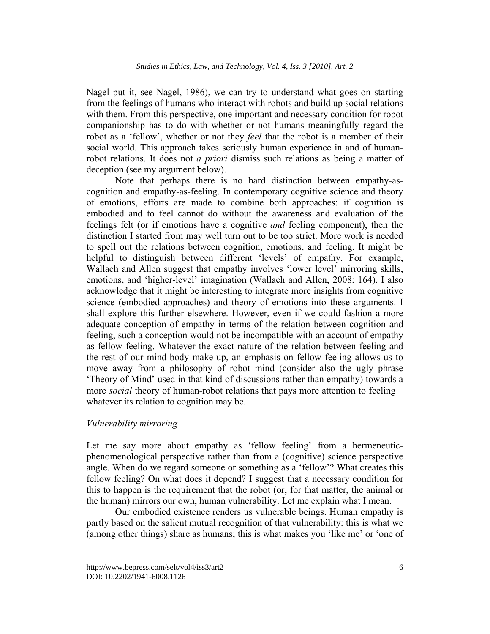Nagel put it, see Nagel, 1986), we can try to understand what goes on starting from the feelings of humans who interact with robots and build up social relations with them. From this perspective, one important and necessary condition for robot companionship has to do with whether or not humans meaningfully regard the robot as a 'fellow', whether or not they *feel* that the robot is a member of their social world. This approach takes seriously human experience in and of humanrobot relations. It does not *a priori* dismiss such relations as being a matter of deception (see my argument below).

Note that perhaps there is no hard distinction between empathy-ascognition and empathy-as-feeling. In contemporary cognitive science and theory of emotions, efforts are made to combine both approaches: if cognition is embodied and to feel cannot do without the awareness and evaluation of the feelings felt (or if emotions have a cognitive *and* feeling component), then the distinction I started from may well turn out to be too strict. More work is needed to spell out the relations between cognition, emotions, and feeling. It might be helpful to distinguish between different 'levels' of empathy. For example, Wallach and Allen suggest that empathy involves 'lower level' mirroring skills, emotions, and 'higher-level' imagination (Wallach and Allen, 2008: 164). I also acknowledge that it might be interesting to integrate more insights from cognitive science (embodied approaches) and theory of emotions into these arguments. I shall explore this further elsewhere. However, even if we could fashion a more adequate conception of empathy in terms of the relation between cognition and feeling, such a conception would not be incompatible with an account of empathy as fellow feeling. Whatever the exact nature of the relation between feeling and the rest of our mind-body make-up, an emphasis on fellow feeling allows us to move away from a philosophy of robot mind (consider also the ugly phrase 'Theory of Mind' used in that kind of discussions rather than empathy) towards a more *social* theory of human-robot relations that pays more attention to feeling – whatever its relation to cognition may be.

#### *Vulnerability mirroring*

Let me say more about empathy as 'fellow feeling' from a hermeneuticphenomenological perspective rather than from a (cognitive) science perspective angle. When do we regard someone or something as a 'fellow'? What creates this fellow feeling? On what does it depend? I suggest that a necessary condition for this to happen is the requirement that the robot (or, for that matter, the animal or the human) mirrors our own, human vulnerability. Let me explain what I mean.

Our embodied existence renders us vulnerable beings. Human empathy is partly based on the salient mutual recognition of that vulnerability: this is what we (among other things) share as humans; this is what makes you 'like me' or 'one of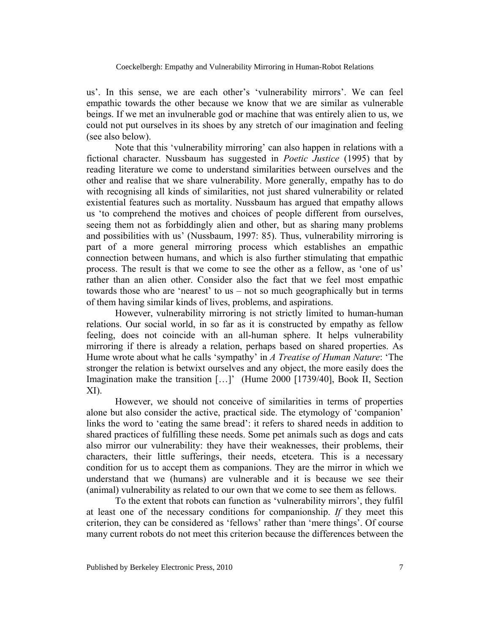us'. In this sense, we are each other's 'vulnerability mirrors'. We can feel empathic towards the other because we know that we are similar as vulnerable beings. If we met an invulnerable god or machine that was entirely alien to us, we could not put ourselves in its shoes by any stretch of our imagination and feeling (see also below).

Note that this 'vulnerability mirroring' can also happen in relations with a fictional character. Nussbaum has suggested in *Poetic Justice* (1995) that by reading literature we come to understand similarities between ourselves and the other and realise that we share vulnerability. More generally, empathy has to do with recognising all kinds of similarities, not just shared vulnerability or related existential features such as mortality. Nussbaum has argued that empathy allows us 'to comprehend the motives and choices of people different from ourselves, seeing them not as forbiddingly alien and other, but as sharing many problems and possibilities with us' (Nussbaum, 1997: 85). Thus, vulnerability mirroring is part of a more general mirroring process which establishes an empathic connection between humans, and which is also further stimulating that empathic process. The result is that we come to see the other as a fellow, as 'one of us' rather than an alien other. Consider also the fact that we feel most empathic towards those who are 'nearest' to us – not so much geographically but in terms of them having similar kinds of lives, problems, and aspirations.

However, vulnerability mirroring is not strictly limited to human-human relations. Our social world, in so far as it is constructed by empathy as fellow feeling, does not coincide with an all-human sphere. It helps vulnerability mirroring if there is already a relation, perhaps based on shared properties. As Hume wrote about what he calls 'sympathy' in *A Treatise of Human Nature*: 'The stronger the relation is betwixt ourselves and any object, the more easily does the Imagination make the transition [...]' (Hume 2000 [1739/40], Book II, Section XI).

However, we should not conceive of similarities in terms of properties alone but also consider the active, practical side. The etymology of 'companion' links the word to 'eating the same bread': it refers to shared needs in addition to shared practices of fulfilling these needs. Some pet animals such as dogs and cats also mirror our vulnerability: they have their weaknesses, their problems, their characters, their little sufferings, their needs, etcetera. This is a necessary condition for us to accept them as companions. They are the mirror in which we understand that we (humans) are vulnerable and it is because we see their (animal) vulnerability as related to our own that we come to see them as fellows.

To the extent that robots can function as 'vulnerability mirrors', they fulfil at least one of the necessary conditions for companionship. *If* they meet this criterion, they can be considered as 'fellows' rather than 'mere things'. Of course many current robots do not meet this criterion because the differences between the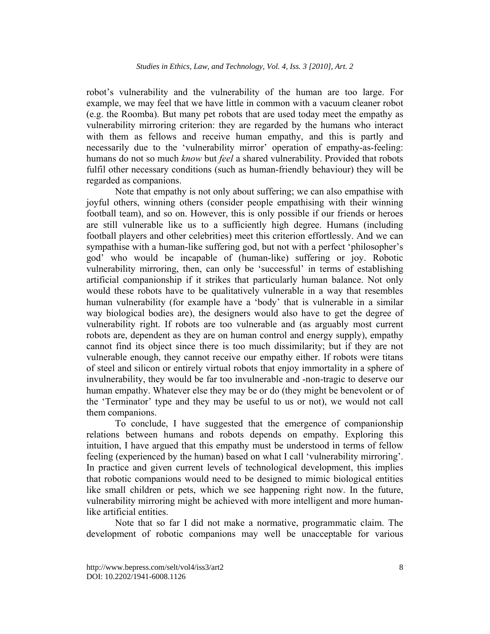robot's vulnerability and the vulnerability of the human are too large. For example, we may feel that we have little in common with a vacuum cleaner robot (e.g. the Roomba). But many pet robots that are used today meet the empathy as vulnerability mirroring criterion: they are regarded by the humans who interact with them as fellows and receive human empathy, and this is partly and necessarily due to the 'vulnerability mirror' operation of empathy-as-feeling: humans do not so much *know* but *feel* a shared vulnerability. Provided that robots fulfil other necessary conditions (such as human-friendly behaviour) they will be regarded as companions.

Note that empathy is not only about suffering; we can also empathise with joyful others, winning others (consider people empathising with their winning football team), and so on. However, this is only possible if our friends or heroes are still vulnerable like us to a sufficiently high degree. Humans (including football players and other celebrities) meet this criterion effortlessly. And we can sympathise with a human-like suffering god, but not with a perfect 'philosopher's god' who would be incapable of (human-like) suffering or joy. Robotic vulnerability mirroring, then, can only be 'successful' in terms of establishing artificial companionship if it strikes that particularly human balance. Not only would these robots have to be qualitatively vulnerable in a way that resembles human vulnerability (for example have a 'body' that is vulnerable in a similar way biological bodies are), the designers would also have to get the degree of vulnerability right. If robots are too vulnerable and (as arguably most current robots are, dependent as they are on human control and energy supply), empathy cannot find its object since there is too much dissimilarity; but if they are not vulnerable enough, they cannot receive our empathy either. If robots were titans of steel and silicon or entirely virtual robots that enjoy immortality in a sphere of invulnerability, they would be far too invulnerable and -non-tragic to deserve our human empathy. Whatever else they may be or do (they might be benevolent or of the 'Terminator' type and they may be useful to us or not), we would not call them companions.

To conclude, I have suggested that the emergence of companionship relations between humans and robots depends on empathy. Exploring this intuition, I have argued that this empathy must be understood in terms of fellow feeling (experienced by the human) based on what I call 'vulnerability mirroring'. In practice and given current levels of technological development, this implies that robotic companions would need to be designed to mimic biological entities like small children or pets, which we see happening right now. In the future, vulnerability mirroring might be achieved with more intelligent and more humanlike artificial entities.

Note that so far I did not make a normative, programmatic claim. The development of robotic companions may well be unacceptable for various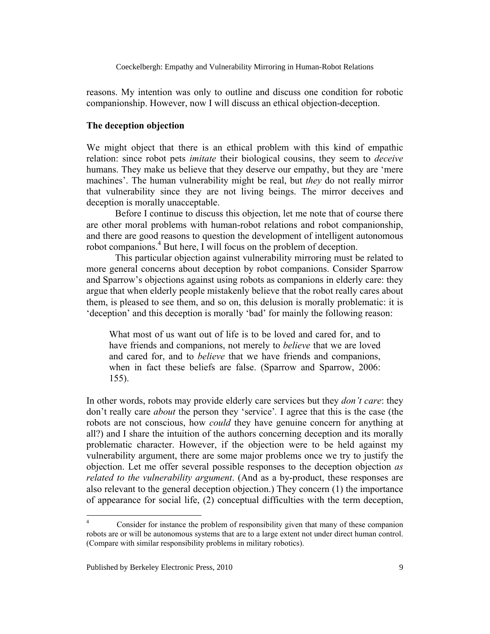reasons. My intention was only to outline and discuss one condition for robotic companionship. However, now I will discuss an ethical objection-deception.

## **The deception objection**

We might object that there is an ethical problem with this kind of empathic relation: since robot pets *imitate* their biological cousins, they seem to *deceive*  humans. They make us believe that they deserve our empathy, but they are 'mere machines'. The human vulnerability might be real, but *they* do not really mirror that vulnerability since they are not living beings. The mirror deceives and deception is morally unacceptable.

Before I continue to discuss this objection, let me note that of course there are other moral problems with human-robot relations and robot companionship, and there are good reasons to question the development of intelligent autonomous robot companions.<sup>4</sup> But here, I will focus on the problem of deception.

This particular objection against vulnerability mirroring must be related to more general concerns about deception by robot companions. Consider Sparrow and Sparrow's objections against using robots as companions in elderly care: they argue that when elderly people mistakenly believe that the robot really cares about them, is pleased to see them, and so on, this delusion is morally problematic: it is 'deception' and this deception is morally 'bad' for mainly the following reason:

What most of us want out of life is to be loved and cared for, and to have friends and companions, not merely to *believe* that we are loved and cared for, and to *believe* that we have friends and companions, when in fact these beliefs are false. (Sparrow and Sparrow, 2006: 155).

In other words, robots may provide elderly care services but they *don't care*: they don't really care *about* the person they 'service'*.* I agree that this is the case (the robots are not conscious, how *could* they have genuine concern for anything at all?) and I share the intuition of the authors concerning deception and its morally problematic character. However, if the objection were to be held against my vulnerability argument, there are some major problems once we try to justify the objection. Let me offer several possible responses to the deception objection *as related to the vulnerability argument*. (And as a by-product, these responses are also relevant to the general deception objection.) They concern (1) the importance of appearance for social life, (2) conceptual difficulties with the term deception,

 $\frac{1}{4}$  Consider for instance the problem of responsibility given that many of these companion robots are or will be autonomous systems that are to a large extent not under direct human control. (Compare with similar responsibility problems in military robotics).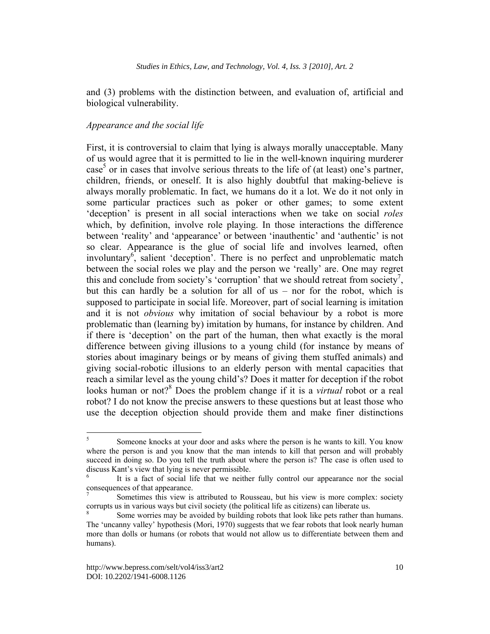and (3) problems with the distinction between, and evaluation of, artificial and biological vulnerability.

#### *Appearance and the social life*

First, it is controversial to claim that lying is always morally unacceptable. Many of us would agree that it is permitted to lie in the well-known inquiring murderer case<sup>5</sup> or in cases that involve serious threats to the life of (at least) one's partner, children, friends, or oneself. It is also highly doubtful that making-believe is always morally problematic. In fact, we humans do it a lot. We do it not only in some particular practices such as poker or other games; to some extent 'deception' is present in all social interactions when we take on social *roles*  which, by definition, involve role playing. In those interactions the difference between 'reality' and 'appearance' or between 'inauthentic' and 'authentic' is not so clear. Appearance is the glue of social life and involves learned, often involuntary<sup>6</sup>, salient 'deception'. There is no perfect and unproblematic match between the social roles we play and the person we 'really' are. One may regret this and conclude from society's 'corruption' that we should retreat from society<sup>7</sup>, but this can hardly be a solution for all of us – nor for the robot, which is supposed to participate in social life. Moreover, part of social learning is imitation and it is not *obvious* why imitation of social behaviour by a robot is more problematic than (learning by) imitation by humans, for instance by children. And if there is 'deception' on the part of the human, then what exactly is the moral difference between giving illusions to a young child (for instance by means of stories about imaginary beings or by means of giving them stuffed animals) and giving social-robotic illusions to an elderly person with mental capacities that reach a similar level as the young child's? Does it matter for deception if the robot looks human or not?<sup>8</sup> Does the problem change if it is a *virtual* robot or a real robot? I do not know the precise answers to these questions but at least those who use the deception objection should provide them and make finer distinctions

 $\frac{1}{5}$  Someone knocks at your door and asks where the person is he wants to kill. You know where the person is and you know that the man intends to kill that person and will probably succeed in doing so. Do you tell the truth about where the person is? The case is often used to discuss Kant's view that lying is never permissible.

<sup>6</sup> It is a fact of social life that we neither fully control our appearance nor the social consequences of that appearance.

<sup>7</sup> Sometimes this view is attributed to Rousseau, but his view is more complex: society corrupts us in various ways but civil society (the political life as citizens) can liberate us.

<sup>8</sup> Some worries may be avoided by building robots that look like pets rather than humans. The 'uncanny valley' hypothesis (Mori, 1970) suggests that we fear robots that look nearly human more than dolls or humans (or robots that would not allow us to differentiate between them and humans).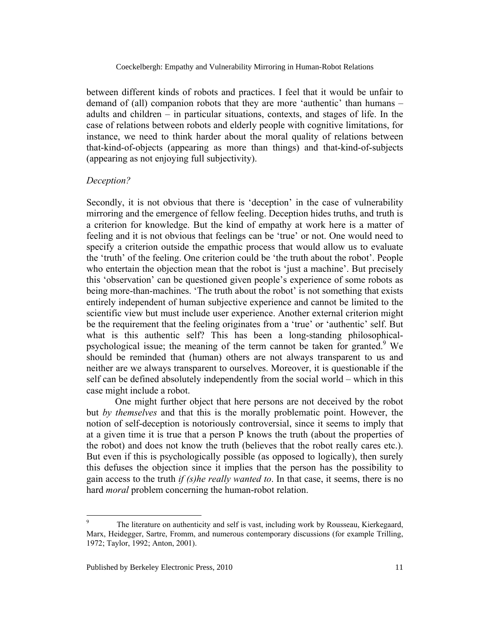between different kinds of robots and practices. I feel that it would be unfair to demand of (all) companion robots that they are more 'authentic' than humans – adults and children – in particular situations, contexts, and stages of life. In the case of relations between robots and elderly people with cognitive limitations, for instance, we need to think harder about the moral quality of relations between that-kind-of-objects (appearing as more than things) and that-kind-of-subjects (appearing as not enjoying full subjectivity).

#### *Deception?*

Secondly, it is not obvious that there is 'deception' in the case of vulnerability mirroring and the emergence of fellow feeling. Deception hides truths, and truth is a criterion for knowledge. But the kind of empathy at work here is a matter of feeling and it is not obvious that feelings can be 'true' or not. One would need to specify a criterion outside the empathic process that would allow us to evaluate the 'truth' of the feeling. One criterion could be 'the truth about the robot'. People who entertain the objection mean that the robot is 'just a machine'. But precisely this 'observation' can be questioned given people's experience of some robots as being more-than-machines. 'The truth about the robot' is not something that exists entirely independent of human subjective experience and cannot be limited to the scientific view but must include user experience. Another external criterion might be the requirement that the feeling originates from a 'true' or 'authentic' self. But what is this authentic self? This has been a long-standing philosophicalpsychological issue; the meaning of the term cannot be taken for granted.<sup>9</sup> We should be reminded that (human) others are not always transparent to us and neither are we always transparent to ourselves. Moreover, it is questionable if the self can be defined absolutely independently from the social world – which in this case might include a robot.

One might further object that here persons are not deceived by the robot but *by themselves* and that this is the morally problematic point. However, the notion of self-deception is notoriously controversial, since it seems to imply that at a given time it is true that a person P knows the truth (about the properties of the robot) and does not know the truth (believes that the robot really cares etc.). But even if this is psychologically possible (as opposed to logically), then surely this defuses the objection since it implies that the person has the possibility to gain access to the truth *if (s)he really wanted to*. In that case, it seems, there is no hard *moral* problem concerning the human-robot relation.

<sup>-&</sup>lt;br>9 The literature on authenticity and self is vast, including work by Rousseau, Kierkegaard, Marx, Heidegger, Sartre, Fromm, and numerous contemporary discussions (for example Trilling, 1972; Taylor, 1992; Anton, 2001).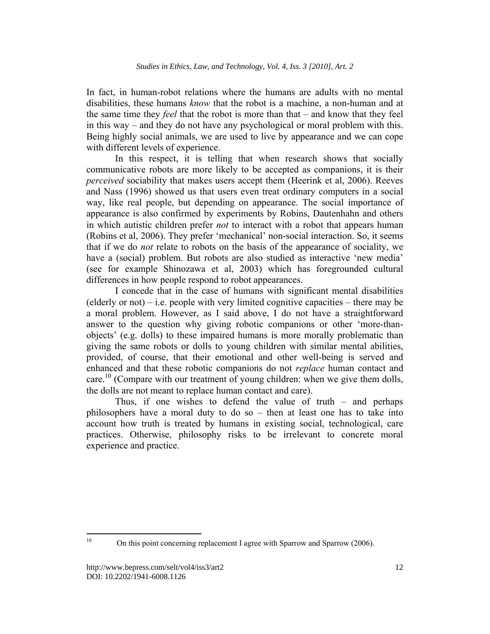In fact, in human-robot relations where the humans are adults with no mental disabilities, these humans *know* that the robot is a machine, a non-human and at the same time they *feel* that the robot is more than that – and know that they feel in this way – and they do not have any psychological or moral problem with this. Being highly social animals, we are used to live by appearance and we can cope with different levels of experience.

In this respect, it is telling that when research shows that socially communicative robots are more likely to be accepted as companions, it is their *perceived* sociability that makes users accept them (Heerink et al, 2006). Reeves and Nass (1996) showed us that users even treat ordinary computers in a social way, like real people, but depending on appearance. The social importance of appearance is also confirmed by experiments by Robins, Dautenhahn and others in which autistic children prefer *not* to interact with a robot that appears human (Robins et al, 2006). They prefer 'mechanical' non-social interaction. So, it seems that if we do *not* relate to robots on the basis of the appearance of sociality, we have a (social) problem. But robots are also studied as interactive 'new media' (see for example Shinozawa et al, 2003) which has foregrounded cultural differences in how people respond to robot appearances.

I concede that in the case of humans with significant mental disabilities  $\text{(elderly or not)} - \text{i.e. people with very limited cognitive capacities} - \text{there may be}$ a moral problem. However, as I said above, I do not have a straightforward answer to the question why giving robotic companions or other 'more-thanobjects' (e.g. dolls) to these impaired humans is more morally problematic than giving the same robots or dolls to young children with similar mental abilities, provided, of course, that their emotional and other well-being is served and enhanced and that these robotic companions do not *replace* human contact and care.<sup>10</sup> (Compare with our treatment of young children: when we give them dolls, the dolls are not meant to replace human contact and care).

Thus, if one wishes to defend the value of truth – and perhaps philosophers have a moral duty to do so – then at least one has to take into account how truth is treated by humans in existing social, technological, care practices. Otherwise, philosophy risks to be irrelevant to concrete moral experience and practice.

 $10<sup>1</sup>$ 

<sup>10</sup> On this point concerning replacement I agree with Sparrow and Sparrow (2006).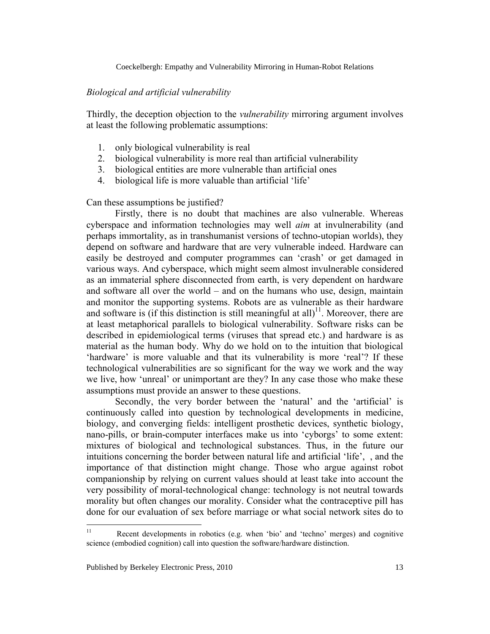### *Biological and artificial vulnerability*

Thirdly, the deception objection to the *vulnerability* mirroring argument involves at least the following problematic assumptions:

- 1. only biological vulnerability is real
- 2. biological vulnerability is more real than artificial vulnerability
- 3. biological entities are more vulnerable than artificial ones
- 4. biological life is more valuable than artificial 'life'

Can these assumptions be justified?

Firstly, there is no doubt that machines are also vulnerable. Whereas cyberspace and information technologies may well *aim* at invulnerability (and perhaps immortality, as in transhumanist versions of techno-utopian worlds), they depend on software and hardware that are very vulnerable indeed. Hardware can easily be destroyed and computer programmes can 'crash' or get damaged in various ways. And cyberspace, which might seem almost invulnerable considered as an immaterial sphere disconnected from earth, is very dependent on hardware and software all over the world – and on the humans who use, design, maintain and monitor the supporting systems. Robots are as vulnerable as their hardware and software is (if this distinction is still meaningful at all)<sup>11</sup>. Moreover, there are at least metaphorical parallels to biological vulnerability. Software risks can be described in epidemiological terms (viruses that spread etc.) and hardware is as material as the human body. Why do we hold on to the intuition that biological 'hardware' is more valuable and that its vulnerability is more 'real'? If these technological vulnerabilities are so significant for the way we work and the way we live, how 'unreal' or unimportant are they? In any case those who make these assumptions must provide an answer to these questions.

Secondly, the very border between the 'natural' and the 'artificial' is continuously called into question by technological developments in medicine, biology, and converging fields: intelligent prosthetic devices, synthetic biology, nano-pills, or brain-computer interfaces make us into 'cyborgs' to some extent: mixtures of biological and technological substances. Thus, in the future our intuitions concerning the border between natural life and artificial 'life', , and the importance of that distinction might change. Those who argue against robot companionship by relying on current values should at least take into account the very possibility of moral-technological change: technology is not neutral towards morality but often changes our morality. Consider what the contraceptive pill has done for our evaluation of sex before marriage or what social network sites do to

 $11$ Recent developments in robotics (e.g. when 'bio' and 'techno' merges) and cognitive science (embodied cognition) call into question the software/hardware distinction.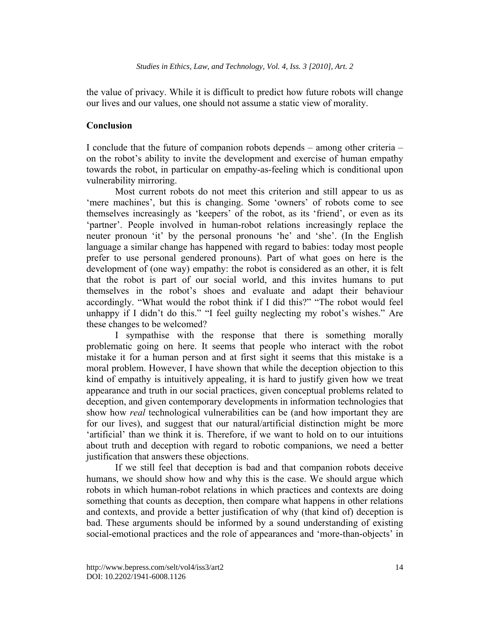the value of privacy. While it is difficult to predict how future robots will change our lives and our values, one should not assume a static view of morality.

# **Conclusion**

I conclude that the future of companion robots depends – among other criteria – on the robot's ability to invite the development and exercise of human empathy towards the robot, in particular on empathy-as-feeling which is conditional upon vulnerability mirroring.

Most current robots do not meet this criterion and still appear to us as 'mere machines', but this is changing. Some 'owners' of robots come to see themselves increasingly as 'keepers' of the robot, as its 'friend', or even as its 'partner'. People involved in human-robot relations increasingly replace the neuter pronoun 'it' by the personal pronouns 'he' and 'she'. (In the English language a similar change has happened with regard to babies: today most people prefer to use personal gendered pronouns). Part of what goes on here is the development of (one way) empathy: the robot is considered as an other, it is felt that the robot is part of our social world, and this invites humans to put themselves in the robot's shoes and evaluate and adapt their behaviour accordingly. "What would the robot think if I did this?" "The robot would feel unhappy if I didn't do this." "I feel guilty neglecting my robot's wishes." Are these changes to be welcomed?

I sympathise with the response that there is something morally problematic going on here. It seems that people who interact with the robot mistake it for a human person and at first sight it seems that this mistake is a moral problem. However, I have shown that while the deception objection to this kind of empathy is intuitively appealing, it is hard to justify given how we treat appearance and truth in our social practices, given conceptual problems related to deception, and given contemporary developments in information technologies that show how *real* technological vulnerabilities can be (and how important they are for our lives), and suggest that our natural/artificial distinction might be more 'artificial' than we think it is. Therefore, if we want to hold on to our intuitions about truth and deception with regard to robotic companions, we need a better justification that answers these objections.

If we still feel that deception is bad and that companion robots deceive humans, we should show how and why this is the case. We should argue which robots in which human-robot relations in which practices and contexts are doing something that counts as deception, then compare what happens in other relations and contexts, and provide a better justification of why (that kind of) deception is bad. These arguments should be informed by a sound understanding of existing social-emotional practices and the role of appearances and 'more-than-objects' in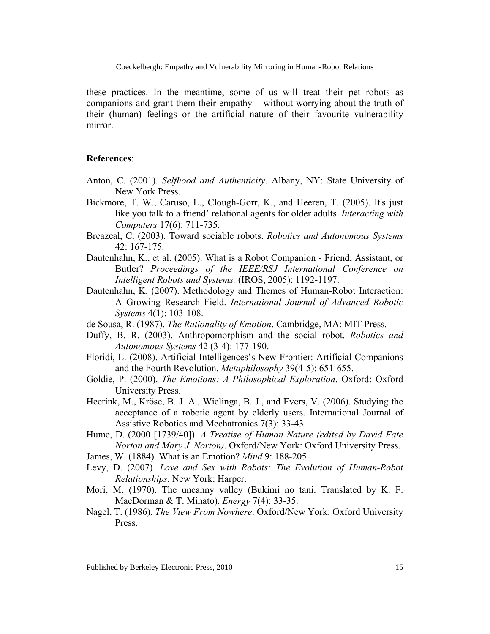these practices. In the meantime, some of us will treat their pet robots as companions and grant them their empathy – without worrying about the truth of their (human) feelings or the artificial nature of their favourite vulnerability mirror.

#### **References**:

- Anton, C. (2001). *Selfhood and Authenticity*. Albany, NY: State University of New York Press.
- Bickmore, T. W., Caruso, L., Clough-Gorr, K., and Heeren, T. (2005). It's just like you talk to a friend' relational agents for older adults. *Interacting with Computers* 17(6): 711-735.
- Breazeal, C. (2003). Toward sociable robots. *Robotics and Autonomous Systems* 42: 167-175.
- Dautenhahn, K., et al. (2005). What is a Robot Companion Friend, Assistant, or Butler? *Proceedings of the IEEE/RSJ International Conference on Intelligent Robots and Systems.* (IROS, 2005): 1192-1197.
- Dautenhahn, K. (2007). Methodology and Themes of Human-Robot Interaction: A Growing Research Field. *International Journal of Advanced Robotic Systems* 4(1): 103-108.
- de Sousa, R. (1987). *The Rationality of Emotion*. Cambridge, MA: MIT Press.
- Duffy, B. R. (2003). Anthropomorphism and the social robot. *Robotics and Autonomous Systems* 42 (3-4): 177-190.
- Floridi, L. (2008). Artificial Intelligences's New Frontier: Artificial Companions and the Fourth Revolution. *Metaphilosophy* 39(4-5): 651-655.
- Goldie, P. (2000). *The Emotions: A Philosophical Exploration*. Oxford: Oxford University Press.
- Heerink, M., Kröse, B. J. A., Wielinga, B. J., and Evers, V. (2006). Studying the acceptance of a robotic agent by elderly users. International Journal of Assistive Robotics and Mechatronics 7(3): 33-43.
- Hume, D. (2000 [1739/40]). *A Treatise of Human Nature (edited by David Fate Norton and Mary J. Norton)*. Oxford/New York: Oxford University Press.
- James, W. (1884). What is an Emotion? *Mind* 9: 188-205.
- Levy, D. (2007). *Love and Sex with Robots: The Evolution of Human-Robot Relationships*. New York: Harper.
- Mori, M. (1970). The uncanny valley (Bukimi no tani. Translated by K. F. MacDorman & T. Minato). *Energy* 7(4): 33-35.
- Nagel, T. (1986). *The View From Nowhere*. Oxford/New York: Oxford University Press.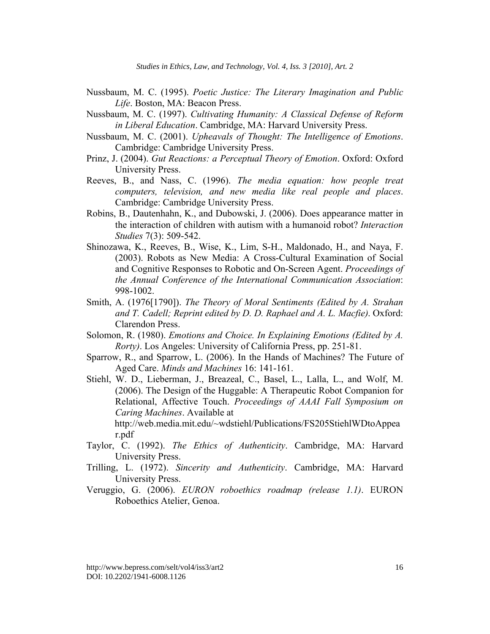- Nussbaum, M. C. (1995). *Poetic Justice: The Literary Imagination and Public Life*. Boston, MA: Beacon Press.
- Nussbaum, M. C. (1997). *Cultivating Humanity: A Classical Defense of Reform in Liberal Education*. Cambridge, MA: Harvard University Press.
- Nussbaum, M. C. (2001). *Upheavals of Thought: The Intelligence of Emotions*. Cambridge: Cambridge University Press.
- Prinz, J. (2004). *Gut Reactions: a Perceptual Theory of Emotion*. Oxford: Oxford University Press.
- Reeves, B., and Nass, C. (1996). *The media equation: how people treat computers, television, and new media like real people and places*. Cambridge: Cambridge University Press.
- Robins, B., Dautenhahn, K., and Dubowski, J. (2006). Does appearance matter in the interaction of children with autism with a humanoid robot? *Interaction Studies* 7(3): 509-542.
- Shinozawa, K., Reeves, B., Wise, K., Lim, S-H., Maldonado, H., and Naya, F. (2003). Robots as New Media: A Cross-Cultural Examination of Social and Cognitive Responses to Robotic and On-Screen Agent. *Proceedings of the Annual Conference of the International Communication Association*: 998-1002.
- Smith, A. (1976[1790]). *The Theory of Moral Sentiments (Edited by A. Strahan and T. Cadell; Reprint edited by D. D. Raphael and A. L. Macfie)*. Oxford: Clarendon Press.
- Solomon, R. (1980). *Emotions and Choice. In Explaining Emotions (Edited by A. Rorty)*. Los Angeles: University of California Press, pp. 251-81.
- Sparrow, R., and Sparrow, L. (2006). In the Hands of Machines? The Future of Aged Care. *Minds and Machines* 16: 141-161.
- Stiehl, W. D., Lieberman, J., Breazeal, C., Basel, L., Lalla, L., and Wolf, M. (2006). The Design of the Huggable: A Therapeutic Robot Companion for Relational, Affective Touch. *Proceedings of AAAI Fall Symposium on Caring Machines*. Available at http://web.media.mit.edu/~wdstiehl/Publications/FS205StiehlWDtoAppea r.pdf
- Taylor, C. (1992). *The Ethics of Authenticity*. Cambridge, MA: Harvard University Press.
- Trilling, L. (1972). *Sincerity and Authenticity*. Cambridge, MA: Harvard University Press.
- Veruggio, G. (2006). *EURON roboethics roadmap (release 1.1)*. EURON Roboethics Atelier, Genoa.